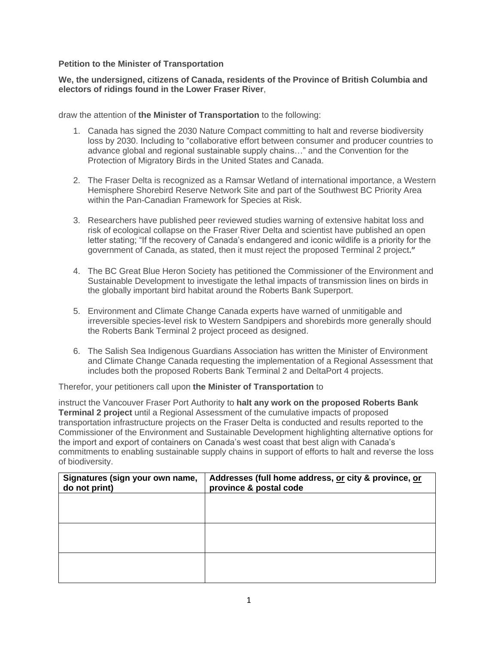## **Petition to the Minister of Transportation**

## **We, the undersigned, citizens of Canada, residents of the Province of British Columbia and electors of ridings found in the Lower Fraser River**,

draw the attention of **the Minister of Transportation** to the following:

- 1. Canada has signed the 2030 Nature Compact committing to halt and reverse biodiversity loss by 2030. Including to "collaborative effort between consumer and producer countries to advance global and regional sustainable supply chains…" and the Convention for the Protection of Migratory Birds in the United States and Canada.
- 2. The Fraser Delta is recognized as a Ramsar Wetland of international importance, a Western Hemisphere Shorebird Reserve Network Site and part of the Southwest BC Priority Area within the Pan-Canadian Framework for Species at Risk.
- 3. Researchers have published peer reviewed studies warning of extensive habitat loss and risk of ecological collapse on the Fraser River Delta and scientist have published an open letter stating; "If the recovery of Canada's endangered and iconic wildlife is a priority for the government of Canada, as stated, then it must reject the proposed Terminal 2 project**."**
- 4. The BC Great Blue Heron Society has petitioned the Commissioner of the Environment and Sustainable Development to investigate the lethal impacts of transmission lines on birds in the globally important bird habitat around the Roberts Bank Superport.
- 5. Environment and Climate Change Canada experts have warned of unmitigable and irreversible species-level risk to Western Sandpipers and shorebirds more generally should the Roberts Bank Terminal 2 project proceed as designed.
- 6. The Salish Sea Indigenous Guardians Association has written the Minister of Environment and Climate Change Canada requesting the implementation of a Regional Assessment that includes both the proposed Roberts Bank Terminal 2 and DeltaPort 4 projects.

Therefor, your petitioners call upon **the Minister of Transportation** to

instruct the Vancouver Fraser Port Authority to **halt any work on the proposed Roberts Bank Terminal 2 project** until a Regional Assessment of the cumulative impacts of proposed transportation infrastructure projects on the Fraser Delta is conducted and results reported to the Commissioner of the Environment and Sustainable Development highlighting alternative options for the import and export of containers on Canada's west coast that best align with Canada's commitments to enabling sustainable supply chains in support of efforts to halt and reverse the loss of biodiversity.

| Signatures (sign your own name,<br>do not print) | Addresses (full home address, or city & province, or<br>province & postal code |
|--------------------------------------------------|--------------------------------------------------------------------------------|
|                                                  |                                                                                |
|                                                  |                                                                                |
|                                                  |                                                                                |
|                                                  |                                                                                |
|                                                  |                                                                                |
|                                                  |                                                                                |